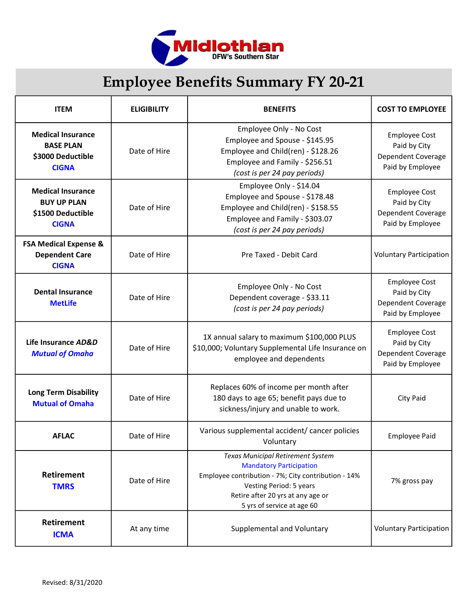

## Employee Benefits Summary FY 20-21

| <b>ITEM</b>                                                                         | <b>ELIGIBILITY</b> | <b>BENEFITS</b>                                                                                                                                                                                                          | <b>COST TO EMPLOYEE</b>                                                        |
|-------------------------------------------------------------------------------------|--------------------|--------------------------------------------------------------------------------------------------------------------------------------------------------------------------------------------------------------------------|--------------------------------------------------------------------------------|
| <b>Medical Insurance</b><br><b>BASE PLAN</b><br>\$3000 Deductible<br><b>CIGNA</b>   | Date of Hire       | Employee Only - No Cost<br>Employee and Spouse - \$145.95<br>Employee and Child(ren) - \$128.26<br>Employee and Family - \$256.51<br>(cost is per 24 pay periods)                                                        | <b>Employee Cost</b><br>Paid by City<br>Dependent Coverage<br>Paid by Employee |
| <b>Medical Insurance</b><br><b>BUY UP PLAN</b><br>\$1500 Deductible<br><b>CIGNA</b> | Date of Hire       | Employee Only - \$14.04<br>Employee and Spouse - \$178.48<br>Employee and Child(ren) - \$158.55<br>Employee and Family - \$303.07<br>(cost is per 24 pay periods)                                                        | <b>Employee Cost</b><br>Paid by City<br>Dependent Coverage<br>Paid by Employee |
| <b>FSA Medical Expense &amp;</b><br><b>Dependent Care</b><br><b>CIGNA</b>           | Date of Hire       | Pre Taxed - Debit Card                                                                                                                                                                                                   | <b>Voluntary Participation</b>                                                 |
| <b>Dental Insurance</b><br><b>MetLife</b>                                           | Date of Hire       | Employee Only - No Cost<br>Dependent coverage - \$33.11<br>(cost is per 24 pay periods)                                                                                                                                  | <b>Employee Cost</b><br>Paid by City<br>Dependent Coverage<br>Paid by Employee |
| Life Insurance AD&D<br><b>Mutual of Omaha</b>                                       | Date of Hire       | 1X annual salary to maximum \$100,000 PLUS<br>\$10,000; Voluntary Supplemental Life Insurance on<br>employee and dependents                                                                                              | <b>Employee Cost</b><br>Paid by City<br>Dependent Coverage<br>Paid by Employee |
| <b>Long Term Disability</b><br><b>Mutual of Omaha</b>                               | Date of Hire       | Replaces 60% of income per month after<br>180 days to age 65; benefit pays due to<br>sickness/injury and unable to work.                                                                                                 | <b>City Paid</b>                                                               |
| <b>AFLAC</b>                                                                        | Date of Hire       | Various supplemental accident/ cancer policies<br>Voluntary                                                                                                                                                              | <b>Employee Paid</b>                                                           |
| <b>Retirement</b><br><b>TMRS</b>                                                    | Date of Hire       | Texas Municipal Retirement System<br><b>Mandatory Participation</b><br>Employee contribution - 7%; City contribution - 14%<br>Vesting Period: 5 years<br>Retire after 20 yrs at any age or<br>5 yrs of service at age 60 | 7% gross pay                                                                   |
| <b>Retirement</b><br><b>ICMA</b>                                                    | At any time        | Supplemental and Voluntary                                                                                                                                                                                               | <b>Voluntary Participation</b>                                                 |